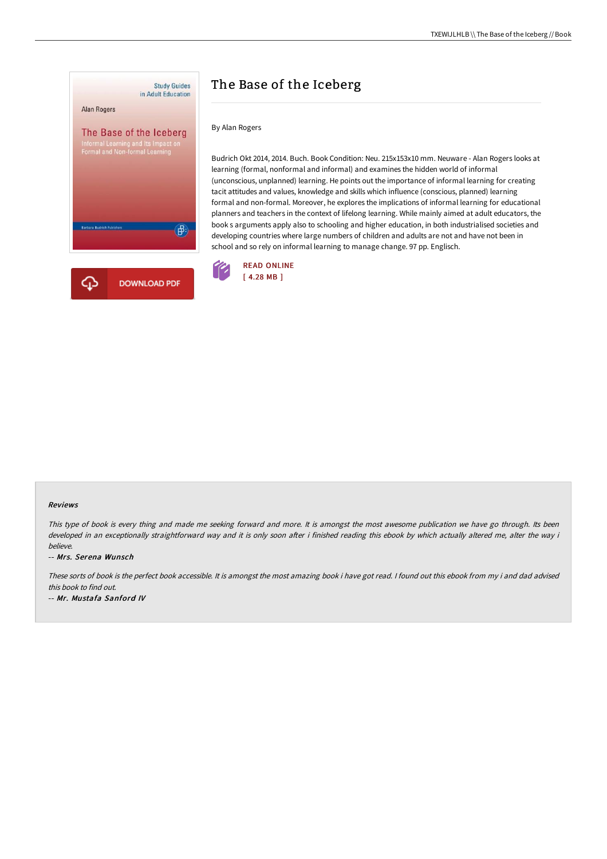

# The Base of the Iceberg

By Alan Rogers

Budrich Okt 2014, 2014. Buch. Book Condition: Neu. 215x153x10 mm. Neuware - Alan Rogers looks at learning (formal, nonformal and informal) and examines the hidden world of informal (unconscious, unplanned) learning. He points out the importance of informal learning for creating tacit attitudes and values, knowledge and skills which influence (conscious, planned) learning formal and non-formal. Moreover, he explores the implications of informal learning for educational planners and teachers in the context of lifelong learning. While mainly aimed at adult educators, the book s arguments apply also to schooling and higher education, in both industrialised societies and developing countries where large numbers of children and adults are not and have not been in school and so rely on informal learning to manage change. 97 pp. Englisch.



#### Reviews

This type of book is every thing and made me seeking forward and more. It is amongst the most awesome publication we have go through. Its been developed in an exceptionally straightforward way and it is only soon after i finished reading this ebook by which actually altered me, alter the way i believe.

-- Mrs. Serena Wunsch

These sorts of book is the perfect book accessible. It is amongst the most amazing book i have got read. <sup>I</sup> found out this ebook from my i and dad advised this book to find out.

-- Mr. Mustafa Sanford IV